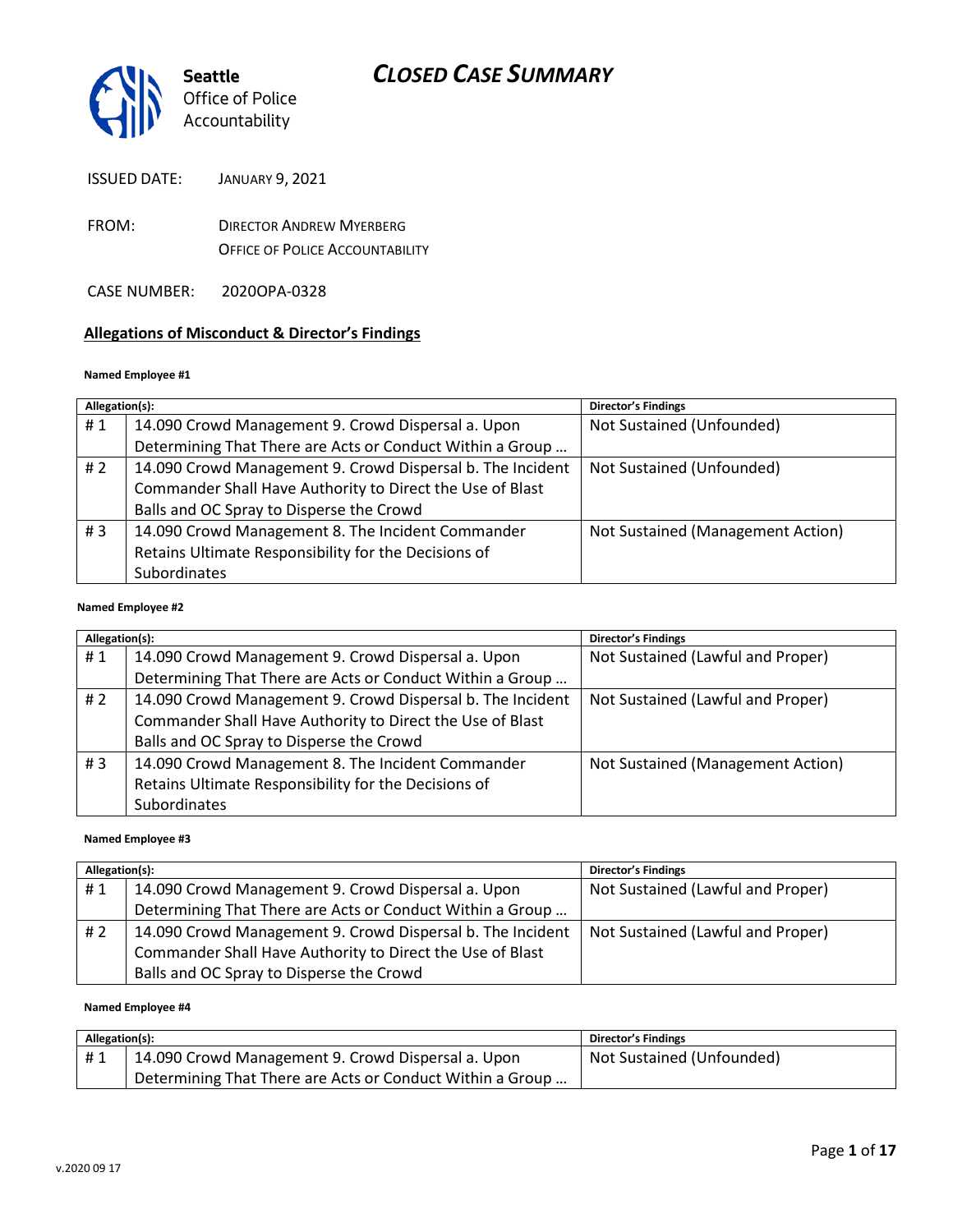

- FROM: DIRECTOR ANDREW MYERBERG OFFICE OF POLICE ACCOUNTABILITY
- CASE NUMBER: 2020OPA-0328

#### **Allegations of Misconduct & Director's Findings**

#### **Named Employee #1**

| Allegation(s): |                                                            | <b>Director's Findings</b>        |
|----------------|------------------------------------------------------------|-----------------------------------|
| #1             | 14.090 Crowd Management 9. Crowd Dispersal a. Upon         | Not Sustained (Unfounded)         |
|                | Determining That There are Acts or Conduct Within a Group  |                                   |
| # $2$          | 14.090 Crowd Management 9. Crowd Dispersal b. The Incident | Not Sustained (Unfounded)         |
|                | Commander Shall Have Authority to Direct the Use of Blast  |                                   |
|                | Balls and OC Spray to Disperse the Crowd                   |                                   |
| #3             | 14.090 Crowd Management 8. The Incident Commander          | Not Sustained (Management Action) |
|                | Retains Ultimate Responsibility for the Decisions of       |                                   |
|                | Subordinates                                               |                                   |
|                |                                                            |                                   |

#### **Named Employee #2**

| Allegation(s): |                                                            | Director's Findings               |
|----------------|------------------------------------------------------------|-----------------------------------|
| #1             | 14.090 Crowd Management 9. Crowd Dispersal a. Upon         | Not Sustained (Lawful and Proper) |
|                | Determining That There are Acts or Conduct Within a Group  |                                   |
| # $2$          | 14.090 Crowd Management 9. Crowd Dispersal b. The Incident | Not Sustained (Lawful and Proper) |
|                | Commander Shall Have Authority to Direct the Use of Blast  |                                   |
|                | Balls and OC Spray to Disperse the Crowd                   |                                   |
| #3             | 14.090 Crowd Management 8. The Incident Commander          | Not Sustained (Management Action) |
|                | Retains Ultimate Responsibility for the Decisions of       |                                   |
|                | <b>Subordinates</b>                                        |                                   |

#### **Named Employee #3**

| Allegation(s): |                                                            | <b>Director's Findings</b>        |
|----------------|------------------------------------------------------------|-----------------------------------|
| #1             | 14.090 Crowd Management 9. Crowd Dispersal a. Upon         | Not Sustained (Lawful and Proper) |
|                | Determining That There are Acts or Conduct Within a Group  |                                   |
| # 2            | 14.090 Crowd Management 9. Crowd Dispersal b. The Incident | Not Sustained (Lawful and Proper) |
|                | Commander Shall Have Authority to Direct the Use of Blast  |                                   |
|                | Balls and OC Spray to Disperse the Crowd                   |                                   |

#### **Named Employee #4**

| Allegation(s): |                                                           | <b>Director's Findings</b> |
|----------------|-----------------------------------------------------------|----------------------------|
| #1             | 14.090 Crowd Management 9. Crowd Dispersal a. Upon        | Not Sustained (Unfounded)  |
|                | Determining That There are Acts or Conduct Within a Group |                            |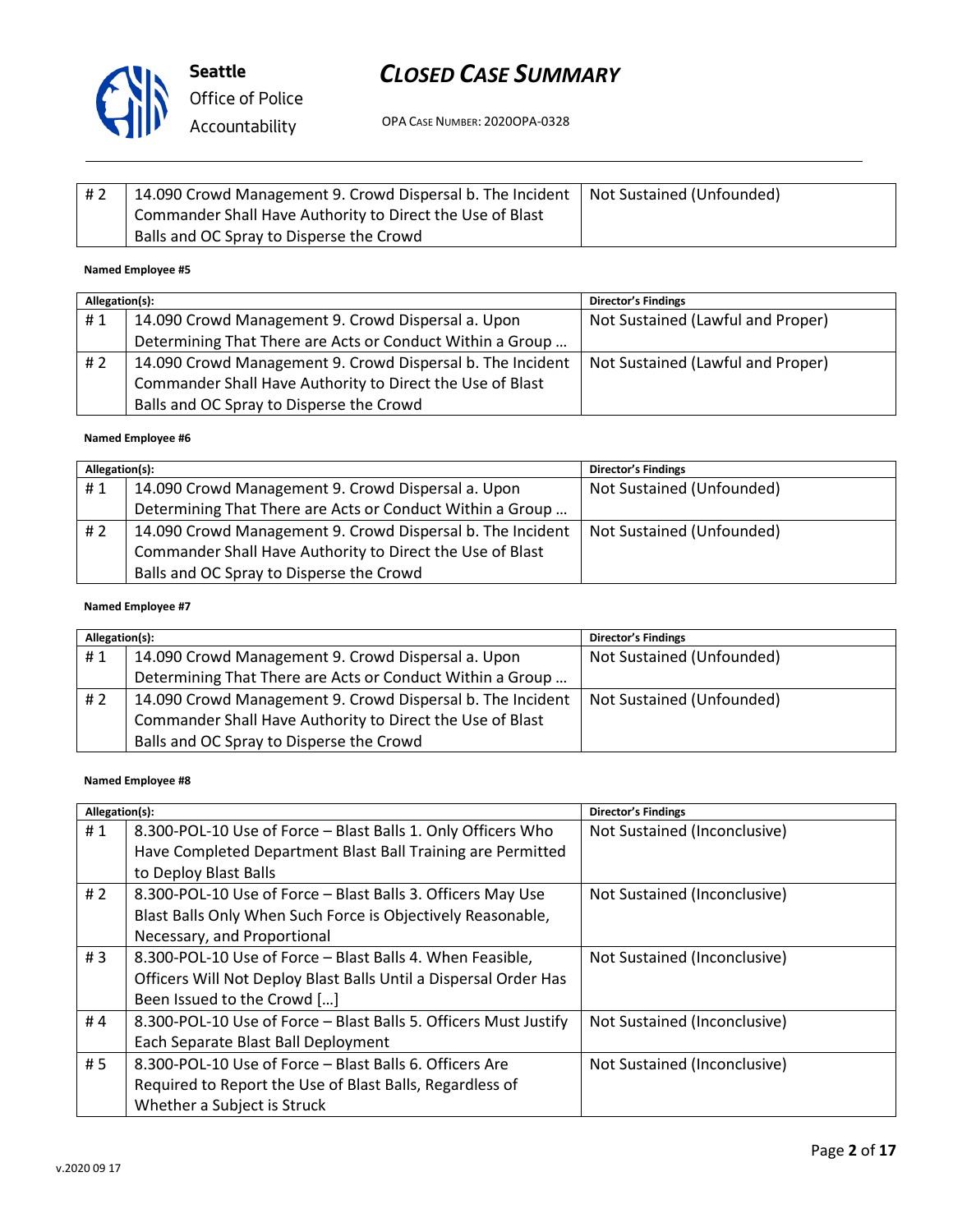

OPA CASE NUMBER: 2020OPA-0328

| #2 | 14.090 Crowd Management 9. Crowd Dispersal b. The Incident   Not Sustained (Unfounded) |  |
|----|----------------------------------------------------------------------------------------|--|
|    | Commander Shall Have Authority to Direct the Use of Blast                              |  |
|    | Balls and OC Spray to Disperse the Crowd                                               |  |

#### **Named Employee #5**

| Allegation(s): |                                                            | <b>Director's Findings</b>        |
|----------------|------------------------------------------------------------|-----------------------------------|
| #1             | 14.090 Crowd Management 9. Crowd Dispersal a. Upon         | Not Sustained (Lawful and Proper) |
|                | Determining That There are Acts or Conduct Within a Group  |                                   |
| # 2            | 14.090 Crowd Management 9. Crowd Dispersal b. The Incident | Not Sustained (Lawful and Proper) |
|                | Commander Shall Have Authority to Direct the Use of Blast  |                                   |
|                | Balls and OC Spray to Disperse the Crowd                   |                                   |

#### **Named Employee #6**

| Allegation(s): |                                                            | <b>Director's Findings</b> |
|----------------|------------------------------------------------------------|----------------------------|
| #1             | 14.090 Crowd Management 9. Crowd Dispersal a. Upon         | Not Sustained (Unfounded)  |
|                | Determining That There are Acts or Conduct Within a Group  |                            |
| # 2            | 14.090 Crowd Management 9. Crowd Dispersal b. The Incident | Not Sustained (Unfounded)  |
|                | Commander Shall Have Authority to Direct the Use of Blast  |                            |
|                | Balls and OC Spray to Disperse the Crowd                   |                            |

#### **Named Employee #7**

| Allegation(s): |                                                            | <b>Director's Findings</b> |
|----------------|------------------------------------------------------------|----------------------------|
| #1             | 14.090 Crowd Management 9. Crowd Dispersal a. Upon         | Not Sustained (Unfounded)  |
|                | Determining That There are Acts or Conduct Within a Group  |                            |
| # 2            | 14.090 Crowd Management 9. Crowd Dispersal b. The Incident | Not Sustained (Unfounded)  |
|                | Commander Shall Have Authority to Direct the Use of Blast  |                            |
|                | Balls and OC Spray to Disperse the Crowd                   |                            |

#### **Named Employee #8**

| Allegation(s): |                                                                  | Director's Findings          |
|----------------|------------------------------------------------------------------|------------------------------|
| #1             | 8.300-POL-10 Use of Force - Blast Balls 1. Only Officers Who     | Not Sustained (Inconclusive) |
|                | Have Completed Department Blast Ball Training are Permitted      |                              |
|                | to Deploy Blast Balls                                            |                              |
| #2             | 8.300-POL-10 Use of Force - Blast Balls 3. Officers May Use      | Not Sustained (Inconclusive) |
|                | Blast Balls Only When Such Force is Objectively Reasonable,      |                              |
|                | Necessary, and Proportional                                      |                              |
| # $3$          | 8.300-POL-10 Use of Force - Blast Balls 4. When Feasible,        | Not Sustained (Inconclusive) |
|                | Officers Will Not Deploy Blast Balls Until a Dispersal Order Has |                              |
|                | Been Issued to the Crowd []                                      |                              |
| #4             | 8.300-POL-10 Use of Force - Blast Balls 5. Officers Must Justify | Not Sustained (Inconclusive) |
|                | Each Separate Blast Ball Deployment                              |                              |
| #5             | 8.300-POL-10 Use of Force - Blast Balls 6. Officers Are          | Not Sustained (Inconclusive) |
|                | Required to Report the Use of Blast Balls, Regardless of         |                              |
|                | Whether a Subject is Struck                                      |                              |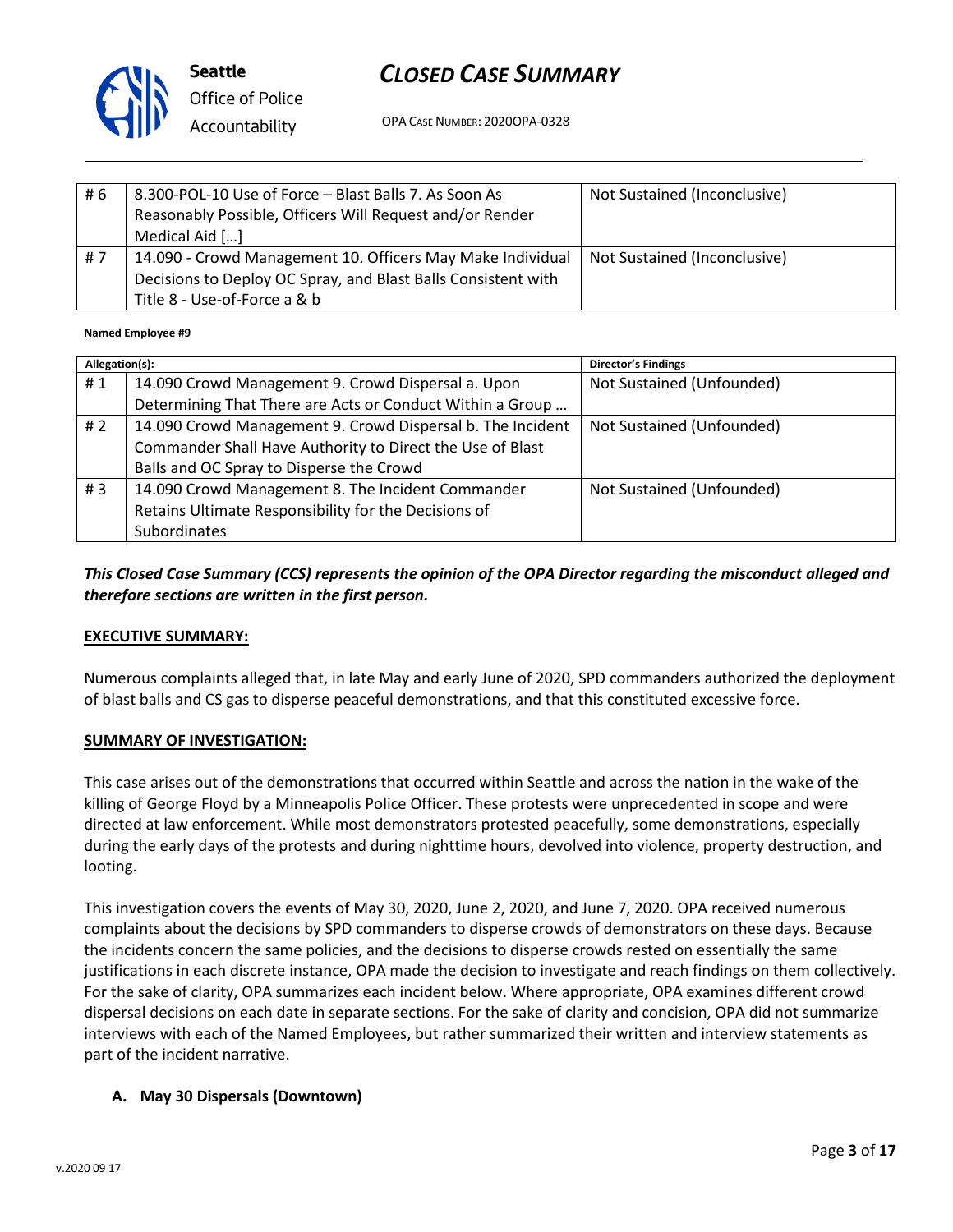

OPA CASE NUMBER: 2020OPA-0328

| # 6 | 8.300-POL-10 Use of Force - Blast Balls 7. As Soon As<br>Reasonably Possible, Officers Will Request and/or Render<br>Medical Aid []                         | Not Sustained (Inconclusive) |
|-----|-------------------------------------------------------------------------------------------------------------------------------------------------------------|------------------------------|
| #7  | 14.090 - Crowd Management 10. Officers May Make Individual<br>Decisions to Deploy OC Spray, and Blast Balls Consistent with<br>Title 8 - Use-of-Force a & b | Not Sustained (Inconclusive) |

#### **Named Employee #9**

| Allegation(s): |                                                            | <b>Director's Findings</b> |
|----------------|------------------------------------------------------------|----------------------------|
| #1             | 14.090 Crowd Management 9. Crowd Dispersal a. Upon         | Not Sustained (Unfounded)  |
|                | Determining That There are Acts or Conduct Within a Group  |                            |
| #2             | 14.090 Crowd Management 9. Crowd Dispersal b. The Incident | Not Sustained (Unfounded)  |
|                | Commander Shall Have Authority to Direct the Use of Blast  |                            |
|                | Balls and OC Spray to Disperse the Crowd                   |                            |
| #3             | 14.090 Crowd Management 8. The Incident Commander          | Not Sustained (Unfounded)  |
|                | Retains Ultimate Responsibility for the Decisions of       |                            |
|                | <b>Subordinates</b>                                        |                            |

### *This Closed Case Summary (CCS) represents the opinion of the OPA Director regarding the misconduct alleged and therefore sections are written in the first person.*

#### **EXECUTIVE SUMMARY:**

Numerous complaints alleged that, in late May and early June of 2020, SPD commanders authorized the deployment of blast balls and CS gas to disperse peaceful demonstrations, and that this constituted excessive force.

#### **SUMMARY OF INVESTIGATION:**

This case arises out of the demonstrations that occurred within Seattle and across the nation in the wake of the killing of George Floyd by a Minneapolis Police Officer. These protests were unprecedented in scope and were directed at law enforcement. While most demonstrators protested peacefully, some demonstrations, especially during the early days of the protests and during nighttime hours, devolved into violence, property destruction, and looting.

This investigation covers the events of May 30, 2020, June 2, 2020, and June 7, 2020. OPA received numerous complaints about the decisions by SPD commanders to disperse crowds of demonstrators on these days. Because the incidents concern the same policies, and the decisions to disperse crowds rested on essentially the same justifications in each discrete instance, OPA made the decision to investigate and reach findings on them collectively. For the sake of clarity, OPA summarizes each incident below. Where appropriate, OPA examines different crowd dispersal decisions on each date in separate sections. For the sake of clarity and concision, OPA did not summarize interviews with each of the Named Employees, but rather summarized their written and interview statements as part of the incident narrative.

#### **A. May 30 Dispersals (Downtown)**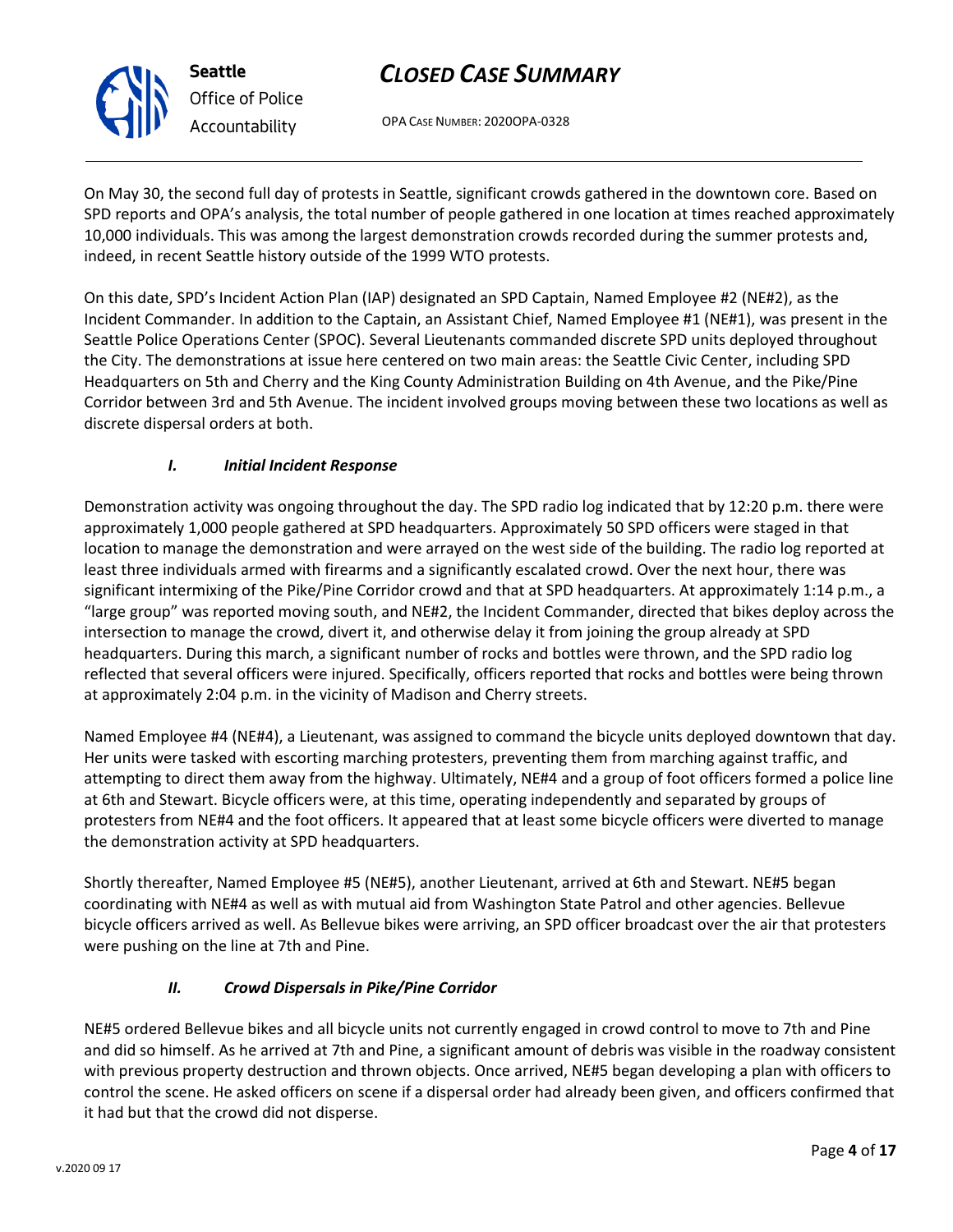OPA CASE NUMBER: 2020OPA-0328

On May 30, the second full day of protests in Seattle, significant crowds gathered in the downtown core. Based on SPD reports and OPA's analysis, the total number of people gathered in one location at times reached approximately 10,000 individuals. This was among the largest demonstration crowds recorded during the summer protests and, indeed, in recent Seattle history outside of the 1999 WTO protests.

On this date, SPD's Incident Action Plan (IAP) designated an SPD Captain, Named Employee #2 (NE#2), as the Incident Commander. In addition to the Captain, an Assistant Chief, Named Employee #1 (NE#1), was present in the Seattle Police Operations Center (SPOC). Several Lieutenants commanded discrete SPD units deployed throughout the City. The demonstrations at issue here centered on two main areas: the Seattle Civic Center, including SPD Headquarters on 5th and Cherry and the King County Administration Building on 4th Avenue, and the Pike/Pine Corridor between 3rd and 5th Avenue. The incident involved groups moving between these two locations as well as discrete dispersal orders at both.

### *I. Initial Incident Response*

Demonstration activity was ongoing throughout the day. The SPD radio log indicated that by 12:20 p.m. there were approximately 1,000 people gathered at SPD headquarters. Approximately 50 SPD officers were staged in that location to manage the demonstration and were arrayed on the west side of the building. The radio log reported at least three individuals armed with firearms and a significantly escalated crowd. Over the next hour, there was significant intermixing of the Pike/Pine Corridor crowd and that at SPD headquarters. At approximately 1:14 p.m., a "large group" was reported moving south, and NE#2, the Incident Commander, directed that bikes deploy across the intersection to manage the crowd, divert it, and otherwise delay it from joining the group already at SPD headquarters. During this march, a significant number of rocks and bottles were thrown, and the SPD radio log reflected that several officers were injured. Specifically, officers reported that rocks and bottles were being thrown at approximately 2:04 p.m. in the vicinity of Madison and Cherry streets.

Named Employee #4 (NE#4), a Lieutenant, was assigned to command the bicycle units deployed downtown that day. Her units were tasked with escorting marching protesters, preventing them from marching against traffic, and attempting to direct them away from the highway. Ultimately, NE#4 and a group of foot officers formed a police line at 6th and Stewart. Bicycle officers were, at this time, operating independently and separated by groups of protesters from NE#4 and the foot officers. It appeared that at least some bicycle officers were diverted to manage the demonstration activity at SPD headquarters.

Shortly thereafter, Named Employee #5 (NE#5), another Lieutenant, arrived at 6th and Stewart. NE#5 began coordinating with NE#4 as well as with mutual aid from Washington State Patrol and other agencies. Bellevue bicycle officers arrived as well. As Bellevue bikes were arriving, an SPD officer broadcast over the air that protesters were pushing on the line at 7th and Pine.

#### *II. Crowd Dispersals in Pike/Pine Corridor*

NE#5 ordered Bellevue bikes and all bicycle units not currently engaged in crowd control to move to 7th and Pine and did so himself. As he arrived at 7th and Pine, a significant amount of debris was visible in the roadway consistent with previous property destruction and thrown objects. Once arrived, NE#5 began developing a plan with officers to control the scene. He asked officers on scene if a dispersal order had already been given, and officers confirmed that it had but that the crowd did not disperse.



**Seattle**

*Office of Police Accountability*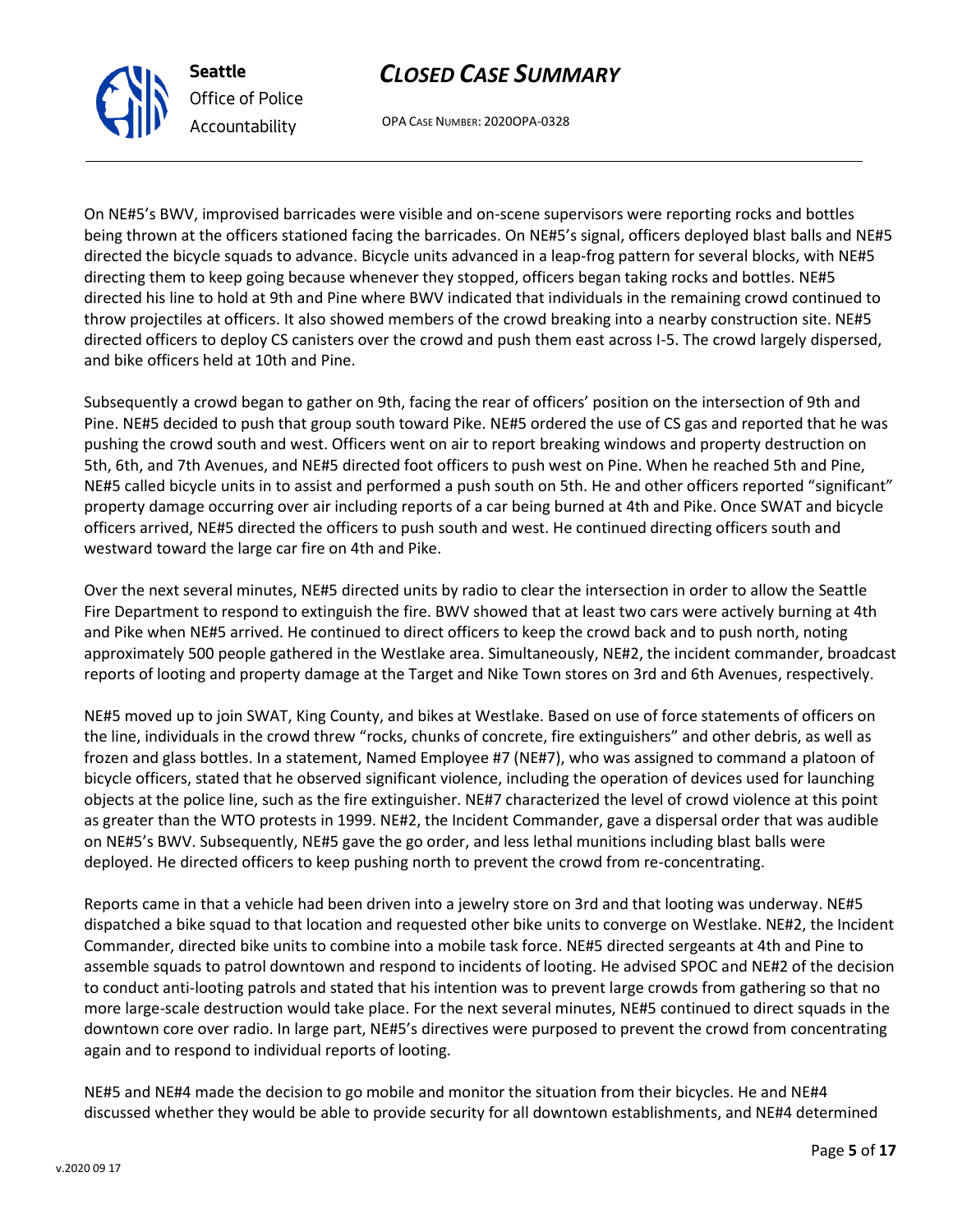Reports came in that a vehicle had been driven into a jewelry store on 3rd and that looting was underway. NE#5 dispatched a bike squad to that location and requested other bike units to converge on Westlake. NE#2, the Incident Commander, directed bike units to combine into a mobile task force. NE#5 directed sergeants at 4th and Pine to assemble squads to patrol downtown and respond to incidents of looting. He advised SPOC and NE#2 of the decision to conduct anti-looting patrols and stated that his intention was to prevent large crowds from gathering so that no more large-scale destruction would take place. For the next several minutes, NE#5 continued to direct squads in the downtown core over radio. In large part, NE#5's directives were purposed to prevent the crowd from concentrating again and to respond to individual reports of looting.

NE#5 and NE#4 made the decision to go mobile and monitor the situation from their bicycles. He and NE#4 discussed whether they would be able to provide security for all downtown establishments, and NE#4 determined

### *CLOSED CASE SUMMARY*

OPA CASE NUMBER: 2020OPA-0328

On NE#5's BWV, improvised barricades were visible and on-scene supervisors were reporting rocks and bottles being thrown at the officers stationed facing the barricades. On NE#5's signal, officers deployed blast balls and NE#5 directed the bicycle squads to advance. Bicycle units advanced in a leap-frog pattern for several blocks, with NE#5 directing them to keep going because whenever they stopped, officers began taking rocks and bottles. NE#5 directed his line to hold at 9th and Pine where BWV indicated that individuals in the remaining crowd continued to throw projectiles at officers. It also showed members of the crowd breaking into a nearby construction site. NE#5 directed officers to deploy CS canisters over the crowd and push them east across I-5. The crowd largely dispersed, and bike officers held at 10th and Pine.

Subsequently a crowd began to gather on 9th, facing the rear of officers' position on the intersection of 9th and Pine. NE#5 decided to push that group south toward Pike. NE#5 ordered the use of CS gas and reported that he was pushing the crowd south and west. Officers went on air to report breaking windows and property destruction on 5th, 6th, and 7th Avenues, and NE#5 directed foot officers to push west on Pine. When he reached 5th and Pine, NE#5 called bicycle units in to assist and performed a push south on 5th. He and other officers reported "significant" property damage occurring over air including reports of a car being burned at 4th and Pike. Once SWAT and bicycle officers arrived, NE#5 directed the officers to push south and west. He continued directing officers south and westward toward the large car fire on 4th and Pike.

Over the next several minutes, NE#5 directed units by radio to clear the intersection in order to allow the Seattle Fire Department to respond to extinguish the fire. BWV showed that at least two cars were actively burning at 4th and Pike when NE#5 arrived. He continued to direct officers to keep the crowd back and to push north, noting approximately 500 people gathered in the Westlake area. Simultaneously, NE#2, the incident commander, broadcast reports of looting and property damage at the Target and Nike Town stores on 3rd and 6th Avenues, respectively.

NE#5 moved up to join SWAT, King County, and bikes at Westlake. Based on use of force statements of officers on the line, individuals in the crowd threw "rocks, chunks of concrete, fire extinguishers" and other debris, as well as frozen and glass bottles. In a statement, Named Employee #7 (NE#7), who was assigned to command a platoon of bicycle officers, stated that he observed significant violence, including the operation of devices used for launching objects at the police line, such as the fire extinguisher. NE#7 characterized the level of crowd violence at this point as greater than the WTO protests in 1999. NE#2, the Incident Commander, gave a dispersal order that was audible on NE#5's BWV. Subsequently, NE#5 gave the go order, and less lethal munitions including blast balls were deployed. He directed officers to keep pushing north to prevent the crowd from re-concentrating.



**Seattle** *Office of Police Accountability*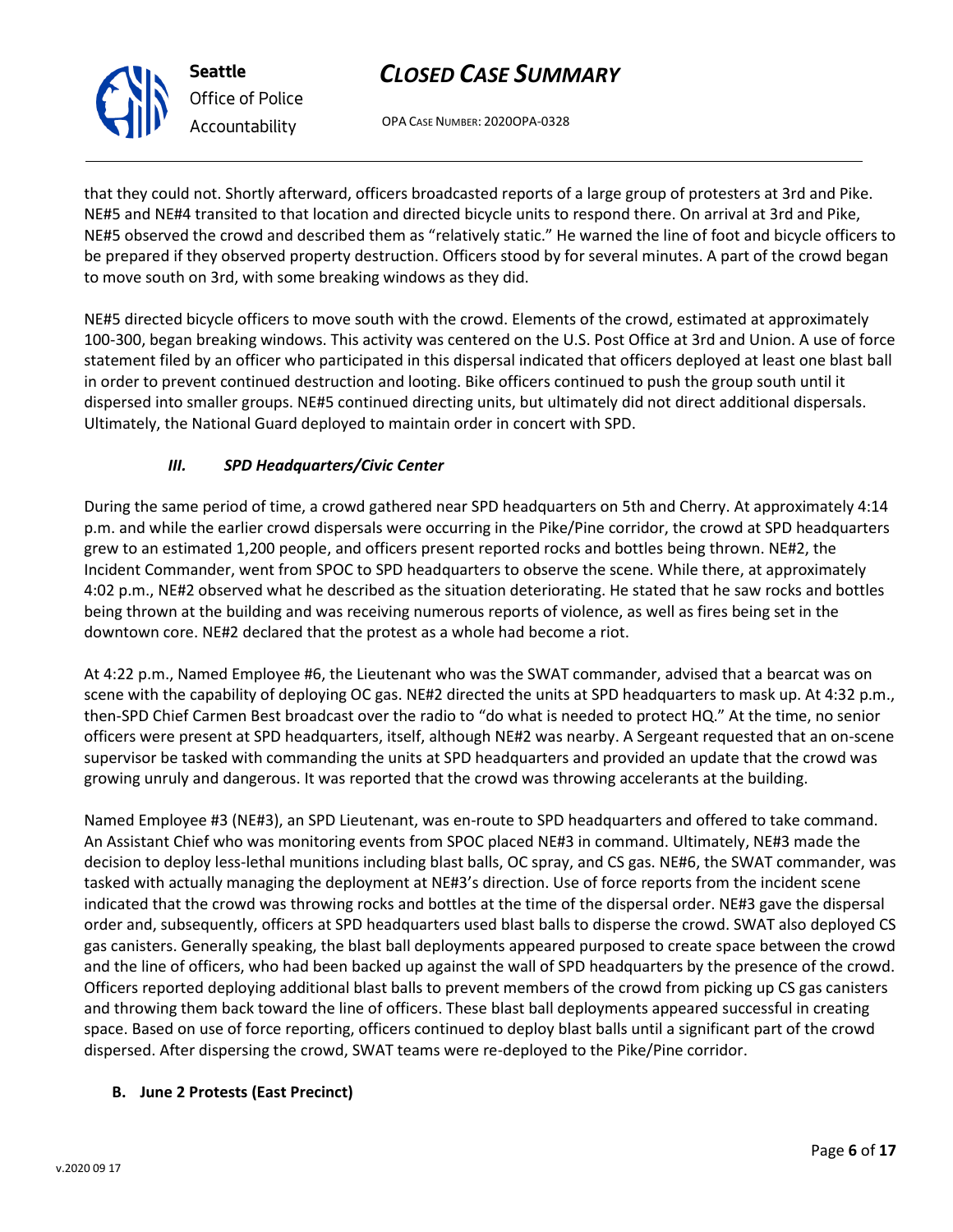OPA CASE NUMBER: 2020OPA-0328

that they could not. Shortly afterward, officers broadcasted reports of a large group of protesters at 3rd and Pike. NE#5 and NE#4 transited to that location and directed bicycle units to respond there. On arrival at 3rd and Pike, NE#5 observed the crowd and described them as "relatively static." He warned the line of foot and bicycle officers to be prepared if they observed property destruction. Officers stood by for several minutes. A part of the crowd began to move south on 3rd, with some breaking windows as they did.

NE#5 directed bicycle officers to move south with the crowd. Elements of the crowd, estimated at approximately 100-300, began breaking windows. This activity was centered on the U.S. Post Office at 3rd and Union. A use of force statement filed by an officer who participated in this dispersal indicated that officers deployed at least one blast ball in order to prevent continued destruction and looting. Bike officers continued to push the group south until it dispersed into smaller groups. NE#5 continued directing units, but ultimately did not direct additional dispersals. Ultimately, the National Guard deployed to maintain order in concert with SPD.

### *III. SPD Headquarters/Civic Center*

During the same period of time, a crowd gathered near SPD headquarters on 5th and Cherry. At approximately 4:14 p.m. and while the earlier crowd dispersals were occurring in the Pike/Pine corridor, the crowd at SPD headquarters grew to an estimated 1,200 people, and officers present reported rocks and bottles being thrown. NE#2, the Incident Commander, went from SPOC to SPD headquarters to observe the scene. While there, at approximately 4:02 p.m., NE#2 observed what he described as the situation deteriorating. He stated that he saw rocks and bottles being thrown at the building and was receiving numerous reports of violence, as well as fires being set in the downtown core. NE#2 declared that the protest as a whole had become a riot.

At 4:22 p.m., Named Employee #6, the Lieutenant who was the SWAT commander, advised that a bearcat was on scene with the capability of deploying OC gas. NE#2 directed the units at SPD headquarters to mask up. At 4:32 p.m., then-SPD Chief Carmen Best broadcast over the radio to "do what is needed to protect HQ." At the time, no senior officers were present at SPD headquarters, itself, although NE#2 was nearby. A Sergeant requested that an on-scene supervisor be tasked with commanding the units at SPD headquarters and provided an update that the crowd was growing unruly and dangerous. It was reported that the crowd was throwing accelerants at the building.

Named Employee #3 (NE#3), an SPD Lieutenant, was en-route to SPD headquarters and offered to take command. An Assistant Chief who was monitoring events from SPOC placed NE#3 in command. Ultimately, NE#3 made the decision to deploy less-lethal munitions including blast balls, OC spray, and CS gas. NE#6, the SWAT commander, was tasked with actually managing the deployment at NE#3's direction. Use of force reports from the incident scene indicated that the crowd was throwing rocks and bottles at the time of the dispersal order. NE#3 gave the dispersal order and, subsequently, officers at SPD headquarters used blast balls to disperse the crowd. SWAT also deployed CS gas canisters. Generally speaking, the blast ball deployments appeared purposed to create space between the crowd and the line of officers, who had been backed up against the wall of SPD headquarters by the presence of the crowd. Officers reported deploying additional blast balls to prevent members of the crowd from picking up CS gas canisters and throwing them back toward the line of officers. These blast ball deployments appeared successful in creating space. Based on use of force reporting, officers continued to deploy blast balls until a significant part of the crowd dispersed. After dispersing the crowd, SWAT teams were re-deployed to the Pike/Pine corridor.

#### **B. June 2 Protests (East Precinct)**



**Seattle**

*Office of Police Accountability*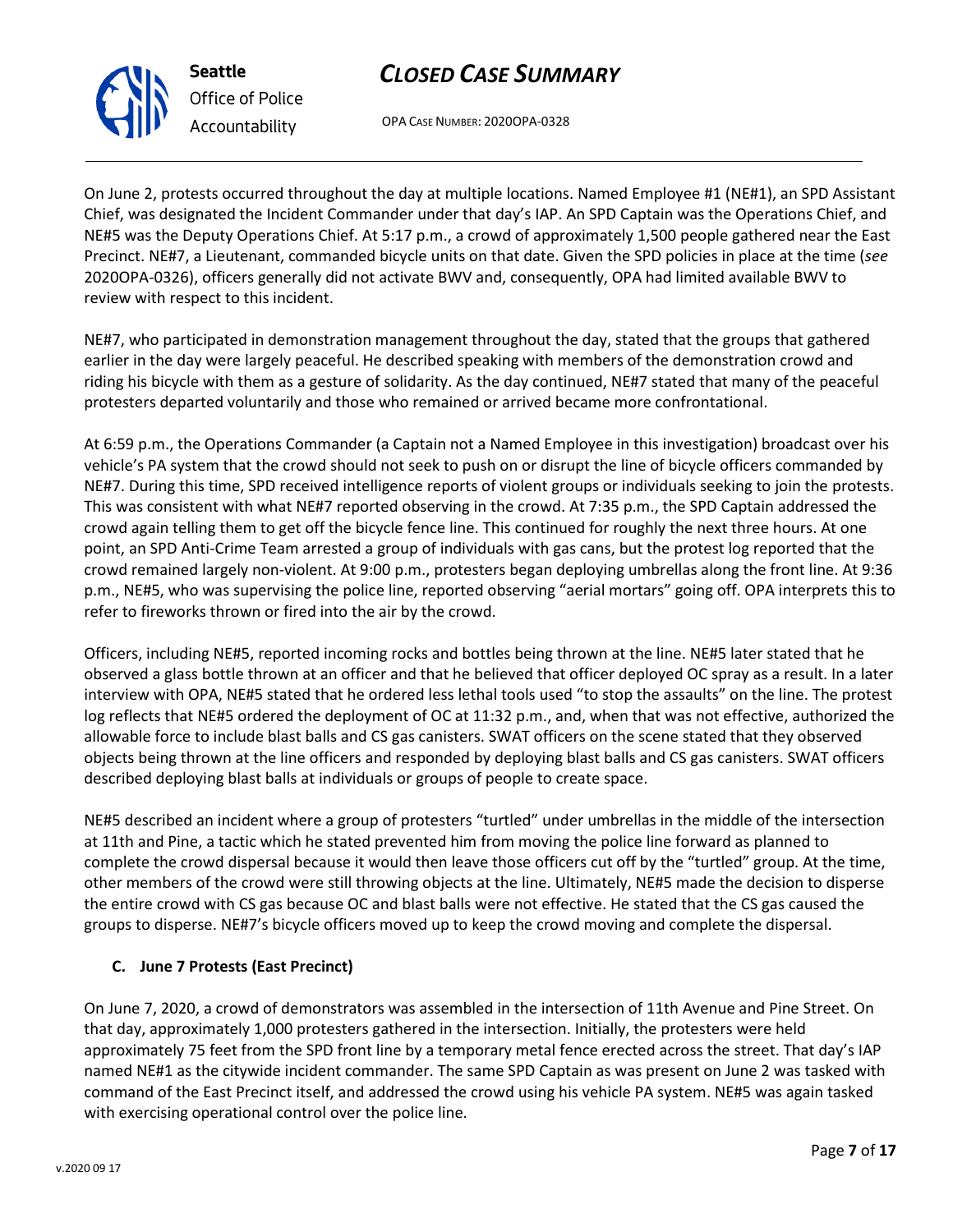OPA CASE NUMBER: 2020OPA-0328

On June 2, protests occurred throughout the day at multiple locations. Named Employee #1 (NE#1), an SPD Assistant Chief, was designated the Incident Commander under that day's IAP. An SPD Captain was the Operations Chief, and NE#5 was the Deputy Operations Chief. At 5:17 p.m., a crowd of approximately 1,500 people gathered near the East Precinct. NE#7, a Lieutenant, commanded bicycle units on that date. Given the SPD policies in place at the time (*see* 2020OPA-0326), officers generally did not activate BWV and, consequently, OPA had limited available BWV to review with respect to this incident.

NE#7, who participated in demonstration management throughout the day, stated that the groups that gathered earlier in the day were largely peaceful. He described speaking with members of the demonstration crowd and riding his bicycle with them as a gesture of solidarity. As the day continued, NE#7 stated that many of the peaceful protesters departed voluntarily and those who remained or arrived became more confrontational.

At 6:59 p.m., the Operations Commander (a Captain not a Named Employee in this investigation) broadcast over his vehicle's PA system that the crowd should not seek to push on or disrupt the line of bicycle officers commanded by NE#7. During this time, SPD received intelligence reports of violent groups or individuals seeking to join the protests. This was consistent with what NE#7 reported observing in the crowd. At 7:35 p.m., the SPD Captain addressed the crowd again telling them to get off the bicycle fence line. This continued for roughly the next three hours. At one point, an SPD Anti-Crime Team arrested a group of individuals with gas cans, but the protest log reported that the crowd remained largely non-violent. At 9:00 p.m., protesters began deploying umbrellas along the front line. At 9:36 p.m., NE#5, who was supervising the police line, reported observing "aerial mortars" going off. OPA interprets this to refer to fireworks thrown or fired into the air by the crowd.

Officers, including NE#5, reported incoming rocks and bottles being thrown at the line. NE#5 later stated that he observed a glass bottle thrown at an officer and that he believed that officer deployed OC spray as a result. In a later interview with OPA, NE#5 stated that he ordered less lethal tools used "to stop the assaults" on the line. The protest log reflects that NE#5 ordered the deployment of OC at 11:32 p.m., and, when that was not effective, authorized the allowable force to include blast balls and CS gas canisters. SWAT officers on the scene stated that they observed objects being thrown at the line officers and responded by deploying blast balls and CS gas canisters. SWAT officers described deploying blast balls at individuals or groups of people to create space.

NE#5 described an incident where a group of protesters "turtled" under umbrellas in the middle of the intersection at 11th and Pine, a tactic which he stated prevented him from moving the police line forward as planned to complete the crowd dispersal because it would then leave those officers cut off by the "turtled" group. At the time, other members of the crowd were still throwing objects at the line. Ultimately, NE#5 made the decision to disperse the entire crowd with CS gas because OC and blast balls were not effective. He stated that the CS gas caused the groups to disperse. NE#7's bicycle officers moved up to keep the crowd moving and complete the dispersal.

#### **C. June 7 Protests (East Precinct)**

On June 7, 2020, a crowd of demonstrators was assembled in the intersection of 11th Avenue and Pine Street. On that day, approximately 1,000 protesters gathered in the intersection. Initially, the protesters were held approximately 75 feet from the SPD front line by a temporary metal fence erected across the street. That day's IAP named NE#1 as the citywide incident commander. The same SPD Captain as was present on June 2 was tasked with command of the East Precinct itself, and addressed the crowd using his vehicle PA system. NE#5 was again tasked with exercising operational control over the police line.



**Seattle**

*Office of Police Accountability*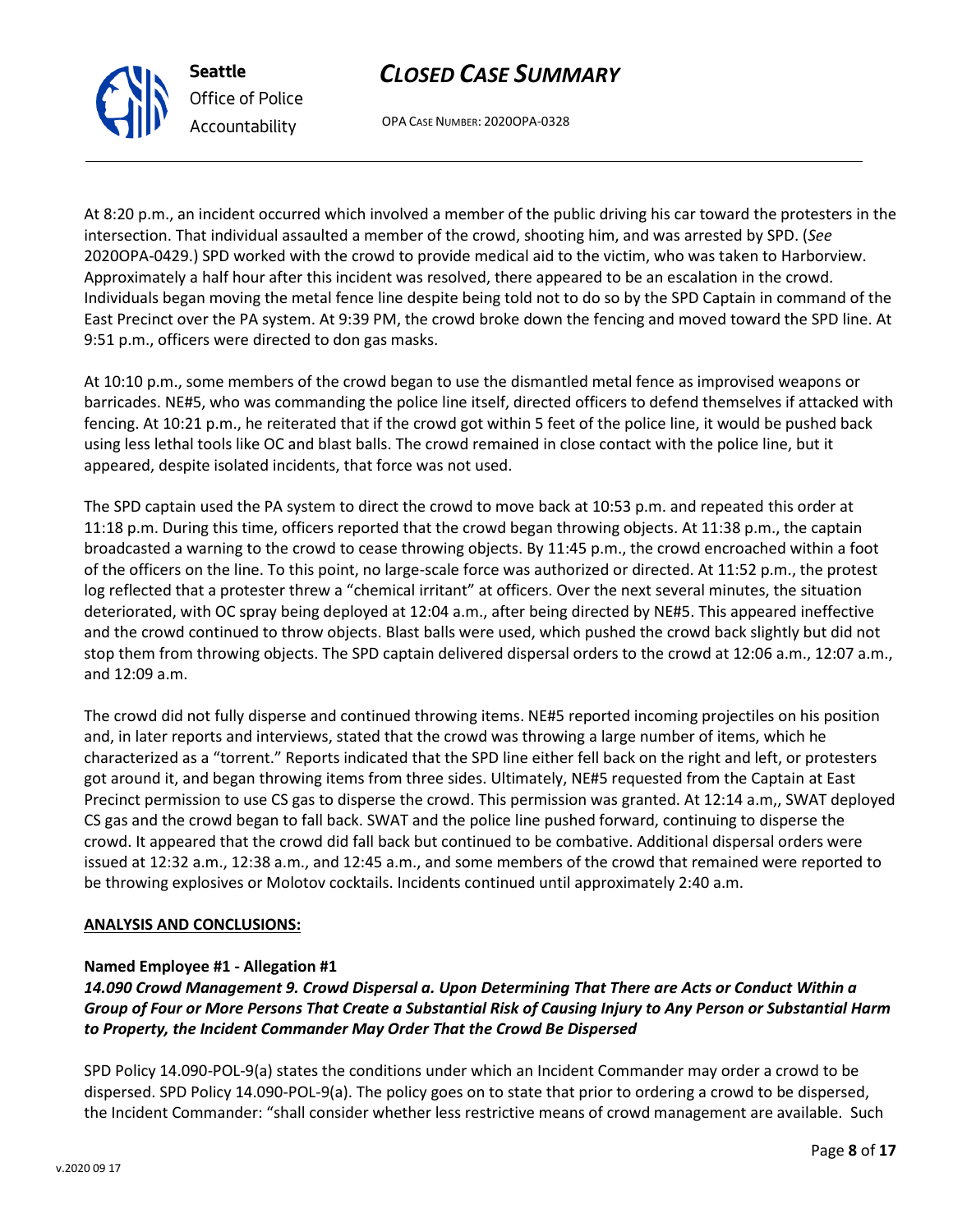

OPA CASE NUMBER: 2020OPA-0328

At 8:20 p.m., an incident occurred which involved a member of the public driving his car toward the protesters in the intersection. That individual assaulted a member of the crowd, shooting him, and was arrested by SPD. (*See*  2020OPA-0429.) SPD worked with the crowd to provide medical aid to the victim, who was taken to Harborview. Approximately a half hour after this incident was resolved, there appeared to be an escalation in the crowd. Individuals began moving the metal fence line despite being told not to do so by the SPD Captain in command of the East Precinct over the PA system. At 9:39 PM, the crowd broke down the fencing and moved toward the SPD line. At 9:51 p.m., officers were directed to don gas masks.

At 10:10 p.m., some members of the crowd began to use the dismantled metal fence as improvised weapons or barricades. NE#5, who was commanding the police line itself, directed officers to defend themselves if attacked with fencing. At 10:21 p.m., he reiterated that if the crowd got within 5 feet of the police line, it would be pushed back using less lethal tools like OC and blast balls. The crowd remained in close contact with the police line, but it appeared, despite isolated incidents, that force was not used.

The SPD captain used the PA system to direct the crowd to move back at 10:53 p.m. and repeated this order at 11:18 p.m. During this time, officers reported that the crowd began throwing objects. At 11:38 p.m., the captain broadcasted a warning to the crowd to cease throwing objects. By 11:45 p.m., the crowd encroached within a foot of the officers on the line. To this point, no large-scale force was authorized or directed. At 11:52 p.m., the protest log reflected that a protester threw a "chemical irritant" at officers. Over the next several minutes, the situation deteriorated, with OC spray being deployed at 12:04 a.m., after being directed by NE#5. This appeared ineffective and the crowd continued to throw objects. Blast balls were used, which pushed the crowd back slightly but did not stop them from throwing objects. The SPD captain delivered dispersal orders to the crowd at 12:06 a.m., 12:07 a.m., and 12:09 a.m.

The crowd did not fully disperse and continued throwing items. NE#5 reported incoming projectiles on his position and, in later reports and interviews, stated that the crowd was throwing a large number of items, which he characterized as a "torrent." Reports indicated that the SPD line either fell back on the right and left, or protesters got around it, and began throwing items from three sides. Ultimately, NE#5 requested from the Captain at East Precinct permission to use CS gas to disperse the crowd. This permission was granted. At 12:14 a.m,, SWAT deployed CS gas and the crowd began to fall back. SWAT and the police line pushed forward, continuing to disperse the crowd. It appeared that the crowd did fall back but continued to be combative. Additional dispersal orders were issued at 12:32 a.m., 12:38 a.m., and 12:45 a.m., and some members of the crowd that remained were reported to be throwing explosives or Molotov cocktails. Incidents continued until approximately 2:40 a.m.

#### **ANALYSIS AND CONCLUSIONS:**

#### **Named Employee #1 - Allegation #1**

#### *14.090 Crowd Management 9. Crowd Dispersal a. Upon Determining That There are Acts or Conduct Within a Group of Four or More Persons That Create a Substantial Risk of Causing Injury to Any Person or Substantial Harm to Property, the Incident Commander May Order That the Crowd Be Dispersed*

SPD Policy 14.090-POL-9(a) states the conditions under which an Incident Commander may order a crowd to be dispersed. SPD Policy 14.090-POL-9(a). The policy goes on to state that prior to ordering a crowd to be dispersed, the Incident Commander: "shall consider whether less restrictive means of crowd management are available. Such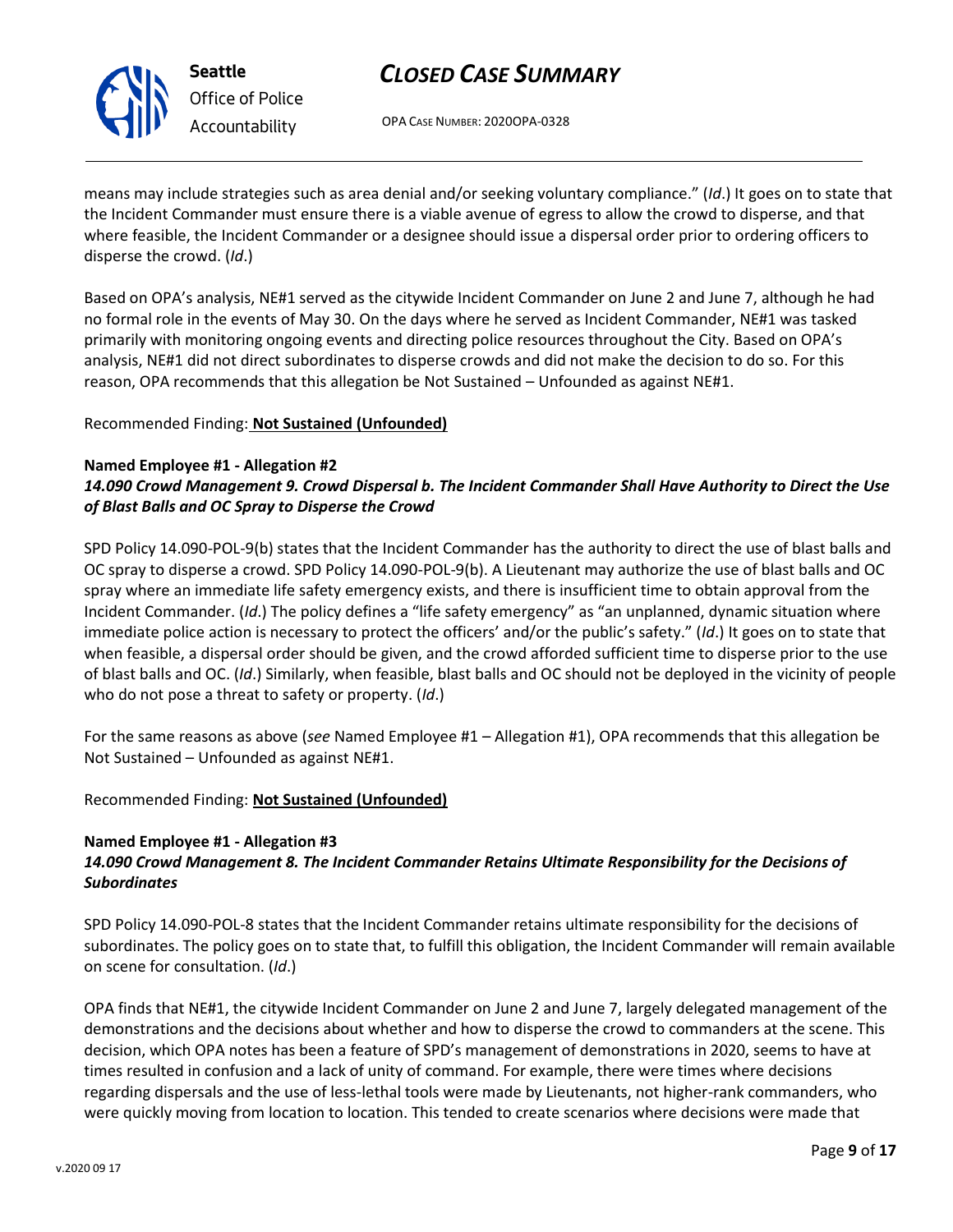

**Seattle** *Office of Police Accountability*

# *CLOSED CASE SUMMARY*

OPA CASE NUMBER: 2020OPA-0328

means may include strategies such as area denial and/or seeking voluntary compliance." (*Id*.) It goes on to state that the Incident Commander must ensure there is a viable avenue of egress to allow the crowd to disperse, and that where feasible, the Incident Commander or a designee should issue a dispersal order prior to ordering officers to disperse the crowd. (*Id*.)

Based on OPA's analysis, NE#1 served as the citywide Incident Commander on June 2 and June 7, although he had no formal role in the events of May 30. On the days where he served as Incident Commander, NE#1 was tasked primarily with monitoring ongoing events and directing police resources throughout the City. Based on OPA's analysis, NE#1 did not direct subordinates to disperse crowds and did not make the decision to do so. For this reason, OPA recommends that this allegation be Not Sustained – Unfounded as against NE#1.

Recommended Finding: **Not Sustained (Unfounded)**

### **Named Employee #1 - Allegation #2** *14.090 Crowd Management 9. Crowd Dispersal b. The Incident Commander Shall Have Authority to Direct the Use*

### *of Blast Balls and OC Spray to Disperse the Crowd*

SPD Policy 14.090-POL-9(b) states that the Incident Commander has the authority to direct the use of blast balls and OC spray to disperse a crowd. SPD Policy 14.090-POL-9(b). A Lieutenant may authorize the use of blast balls and OC spray where an immediate life safety emergency exists, and there is insufficient time to obtain approval from the Incident Commander. (*Id*.) The policy defines a "life safety emergency" as "an unplanned, dynamic situation where immediate police action is necessary to protect the officers' and/or the public's safety." (*Id*.) It goes on to state that when feasible, a dispersal order should be given, and the crowd afforded sufficient time to disperse prior to the use of blast balls and OC. (*Id*.) Similarly, when feasible, blast balls and OC should not be deployed in the vicinity of people who do not pose a threat to safety or property. (*Id*.)

For the same reasons as above (*see* Named Employee #1 – Allegation #1), OPA recommends that this allegation be Not Sustained – Unfounded as against NE#1.

### Recommended Finding: **Not Sustained (Unfounded)**

#### **Named Employee #1 - Allegation #3**

### *14.090 Crowd Management 8. The Incident Commander Retains Ultimate Responsibility for the Decisions of Subordinates*

SPD Policy 14.090-POL-8 states that the Incident Commander retains ultimate responsibility for the decisions of subordinates. The policy goes on to state that, to fulfill this obligation, the Incident Commander will remain available on scene for consultation. (*Id*.)

OPA finds that NE#1, the citywide Incident Commander on June 2 and June 7, largely delegated management of the demonstrations and the decisions about whether and how to disperse the crowd to commanders at the scene. This decision, which OPA notes has been a feature of SPD's management of demonstrations in 2020, seems to have at times resulted in confusion and a lack of unity of command. For example, there were times where decisions regarding dispersals and the use of less-lethal tools were made by Lieutenants, not higher-rank commanders, who were quickly moving from location to location. This tended to create scenarios where decisions were made that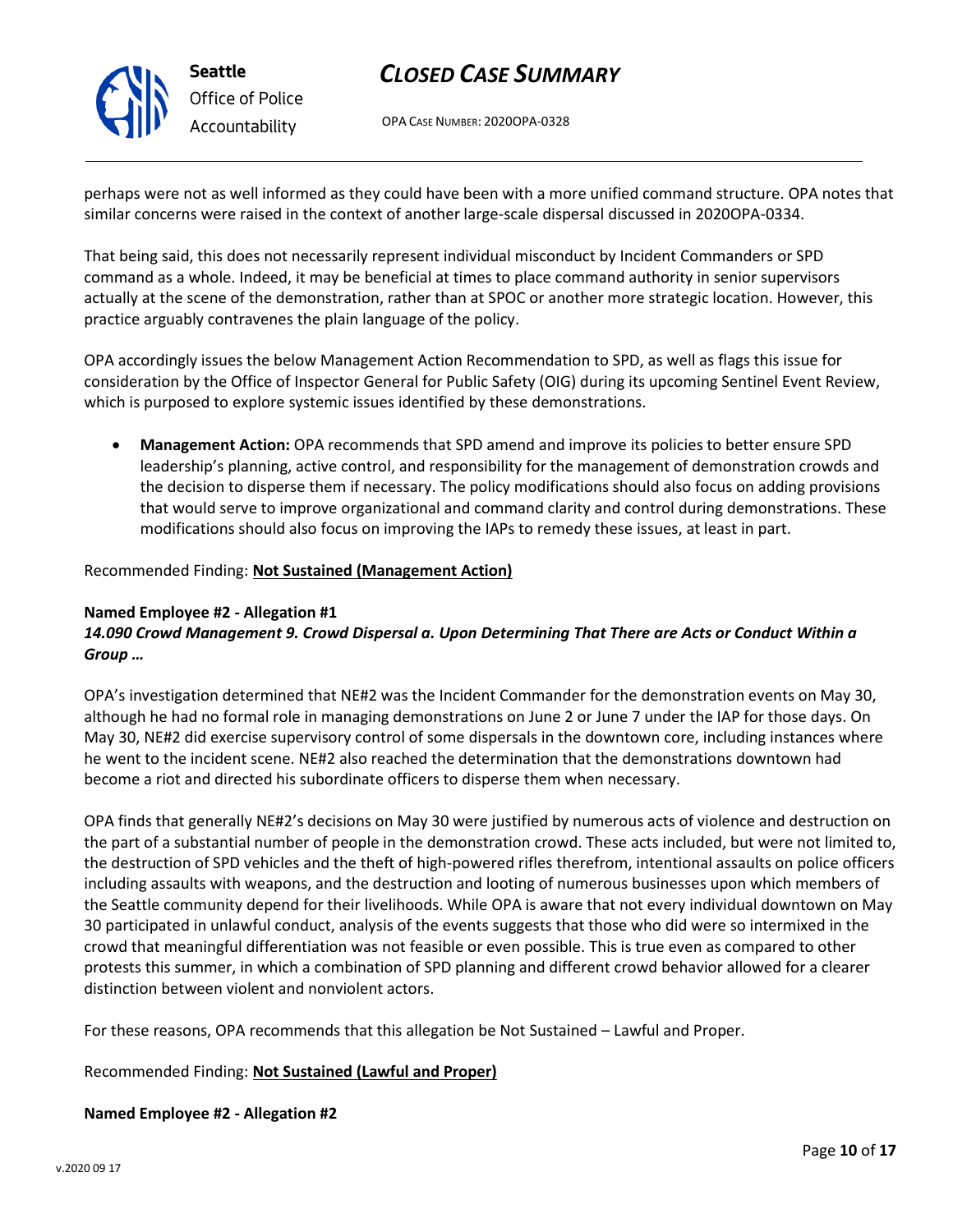OPA CASE NUMBER: 2020OPA-0328

perhaps were not as well informed as they could have been with a more unified command structure. OPA notes that similar concerns were raised in the context of another large-scale dispersal discussed in 2020OPA-0334.

That being said, this does not necessarily represent individual misconduct by Incident Commanders or SPD command as a whole. Indeed, it may be beneficial at times to place command authority in senior supervisors actually at the scene of the demonstration, rather than at SPOC or another more strategic location. However, this practice arguably contravenes the plain language of the policy.

OPA accordingly issues the below Management Action Recommendation to SPD, as well as flags this issue for consideration by the Office of Inspector General for Public Safety (OIG) during its upcoming Sentinel Event Review, which is purposed to explore systemic issues identified by these demonstrations.

• **Management Action:** OPA recommends that SPD amend and improve its policies to better ensure SPD leadership's planning, active control, and responsibility for the management of demonstration crowds and the decision to disperse them if necessary. The policy modifications should also focus on adding provisions that would serve to improve organizational and command clarity and control during demonstrations. These modifications should also focus on improving the IAPs to remedy these issues, at least in part.

#### Recommended Finding: **Not Sustained (Management Action)**

#### **Named Employee #2 - Allegation #1**

#### *14.090 Crowd Management 9. Crowd Dispersal a. Upon Determining That There are Acts or Conduct Within a Group …*

OPA's investigation determined that NE#2 was the Incident Commander for the demonstration events on May 30, although he had no formal role in managing demonstrations on June 2 or June 7 under the IAP for those days. On May 30, NE#2 did exercise supervisory control of some dispersals in the downtown core, including instances where he went to the incident scene. NE#2 also reached the determination that the demonstrations downtown had become a riot and directed his subordinate officers to disperse them when necessary.

OPA finds that generally NE#2's decisions on May 30 were justified by numerous acts of violence and destruction on the part of a substantial number of people in the demonstration crowd. These acts included, but were not limited to, the destruction of SPD vehicles and the theft of high-powered rifles therefrom, intentional assaults on police officers including assaults with weapons, and the destruction and looting of numerous businesses upon which members of the Seattle community depend for their livelihoods. While OPA is aware that not every individual downtown on May 30 participated in unlawful conduct, analysis of the events suggests that those who did were so intermixed in the crowd that meaningful differentiation was not feasible or even possible. This is true even as compared to other protests this summer, in which a combination of SPD planning and different crowd behavior allowed for a clearer distinction between violent and nonviolent actors.

For these reasons, OPA recommends that this allegation be Not Sustained – Lawful and Proper.

Recommended Finding: **Not Sustained (Lawful and Proper)**

#### **Named Employee #2 - Allegation #2**

**Seattle** *Office of Police Accountability*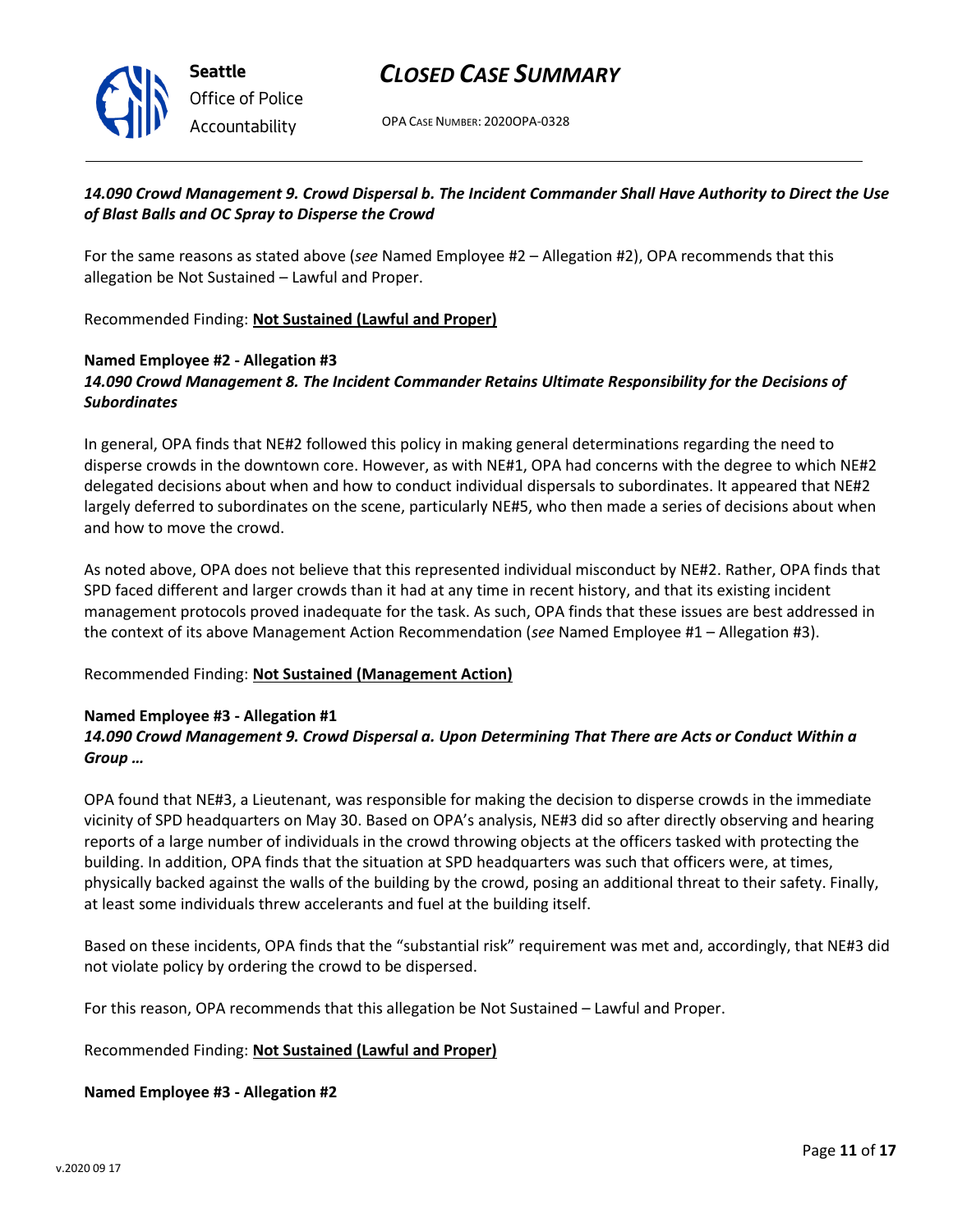

OPA CASE NUMBER: 2020OPA-0328

#### *14.090 Crowd Management 9. Crowd Dispersal b. The Incident Commander Shall Have Authority to Direct the Use of Blast Balls and OC Spray to Disperse the Crowd*

For the same reasons as stated above (*see* Named Employee #2 – Allegation #2), OPA recommends that this allegation be Not Sustained – Lawful and Proper.

Recommended Finding: **Not Sustained (Lawful and Proper)**

#### **Named Employee #2 - Allegation #3** *14.090 Crowd Management 8. The Incident Commander Retains Ultimate Responsibility for the Decisions of Subordinates*

In general, OPA finds that NE#2 followed this policy in making general determinations regarding the need to disperse crowds in the downtown core. However, as with NE#1, OPA had concerns with the degree to which NE#2 delegated decisions about when and how to conduct individual dispersals to subordinates. It appeared that NE#2 largely deferred to subordinates on the scene, particularly NE#5, who then made a series of decisions about when and how to move the crowd.

As noted above, OPA does not believe that this represented individual misconduct by NE#2. Rather, OPA finds that SPD faced different and larger crowds than it had at any time in recent history, and that its existing incident management protocols proved inadequate for the task. As such, OPA finds that these issues are best addressed in the context of its above Management Action Recommendation (*see* Named Employee #1 – Allegation #3).

Recommended Finding: **Not Sustained (Management Action)**

#### **Named Employee #3 - Allegation #1**

#### *14.090 Crowd Management 9. Crowd Dispersal a. Upon Determining That There are Acts or Conduct Within a Group …*

OPA found that NE#3, a Lieutenant, was responsible for making the decision to disperse crowds in the immediate vicinity of SPD headquarters on May 30. Based on OPA's analysis, NE#3 did so after directly observing and hearing reports of a large number of individuals in the crowd throwing objects at the officers tasked with protecting the building. In addition, OPA finds that the situation at SPD headquarters was such that officers were, at times, physically backed against the walls of the building by the crowd, posing an additional threat to their safety. Finally, at least some individuals threw accelerants and fuel at the building itself.

Based on these incidents, OPA finds that the "substantial risk" requirement was met and, accordingly, that NE#3 did not violate policy by ordering the crowd to be dispersed.

For this reason, OPA recommends that this allegation be Not Sustained – Lawful and Proper.

#### Recommended Finding: **Not Sustained (Lawful and Proper)**

#### **Named Employee #3 - Allegation #2**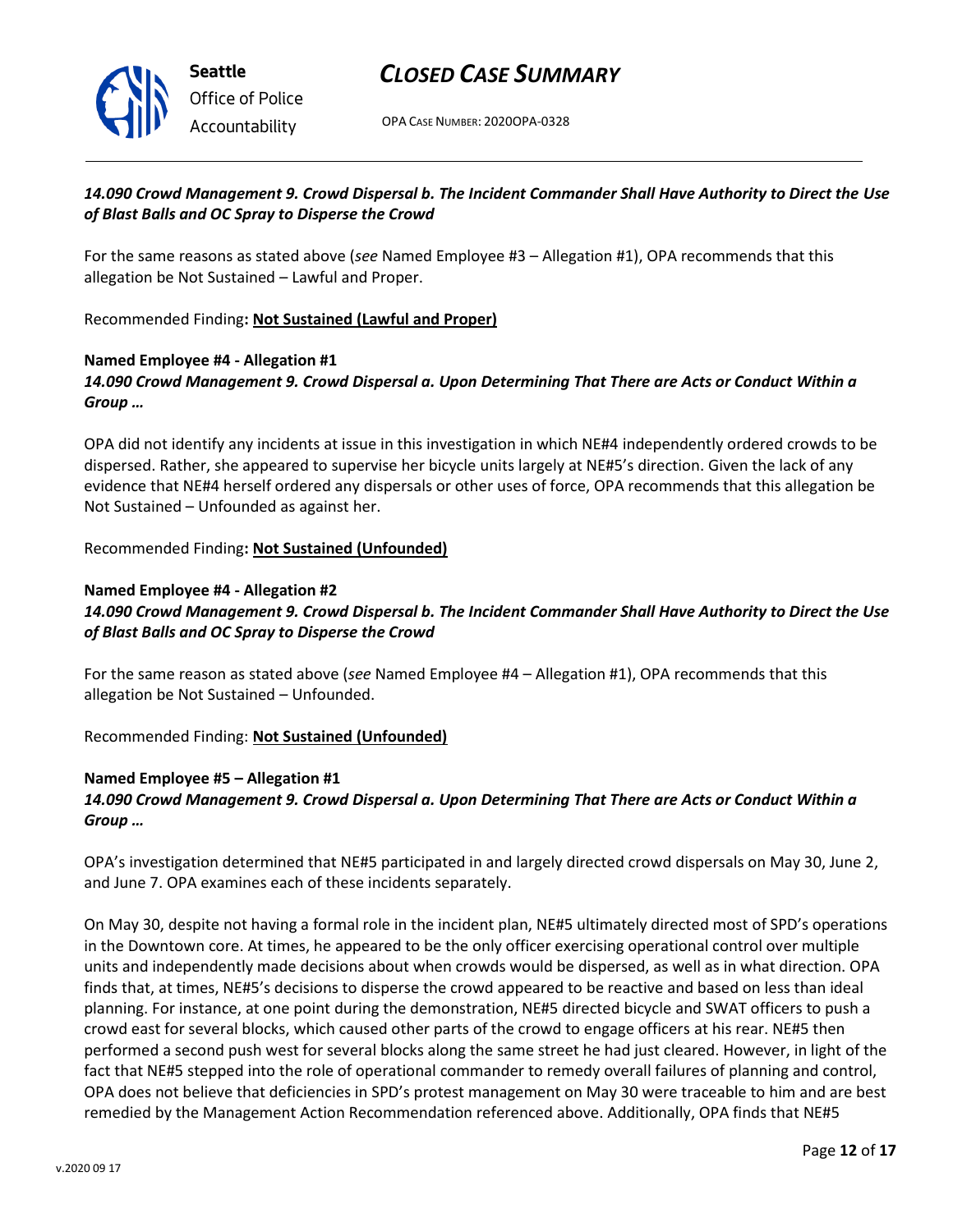

OPA CASE NUMBER: 2020OPA-0328

#### *14.090 Crowd Management 9. Crowd Dispersal b. The Incident Commander Shall Have Authority to Direct the Use of Blast Balls and OC Spray to Disperse the Crowd*

For the same reasons as stated above (*see* Named Employee #3 – Allegation #1), OPA recommends that this allegation be Not Sustained – Lawful and Proper.

Recommended Finding**: Not Sustained (Lawful and Proper)**

#### **Named Employee #4 - Allegation #1**

*14.090 Crowd Management 9. Crowd Dispersal a. Upon Determining That There are Acts or Conduct Within a Group …*

OPA did not identify any incidents at issue in this investigation in which NE#4 independently ordered crowds to be dispersed. Rather, she appeared to supervise her bicycle units largely at NE#5's direction. Given the lack of any evidence that NE#4 herself ordered any dispersals or other uses of force, OPA recommends that this allegation be Not Sustained – Unfounded as against her.

Recommended Finding**: Not Sustained (Unfounded)**

### **Named Employee #4 - Allegation #2** *14.090 Crowd Management 9. Crowd Dispersal b. The Incident Commander Shall Have Authority to Direct the Use of Blast Balls and OC Spray to Disperse the Crowd*

For the same reason as stated above (*see* Named Employee #4 – Allegation #1), OPA recommends that this allegation be Not Sustained – Unfounded.

Recommended Finding: **Not Sustained (Unfounded)**

#### **Named Employee #5 – Allegation #1**

### *14.090 Crowd Management 9. Crowd Dispersal a. Upon Determining That There are Acts or Conduct Within a Group …*

OPA's investigation determined that NE#5 participated in and largely directed crowd dispersals on May 30, June 2, and June 7. OPA examines each of these incidents separately.

On May 30, despite not having a formal role in the incident plan, NE#5 ultimately directed most of SPD's operations in the Downtown core. At times, he appeared to be the only officer exercising operational control over multiple units and independently made decisions about when crowds would be dispersed, as well as in what direction. OPA finds that, at times, NE#5's decisions to disperse the crowd appeared to be reactive and based on less than ideal planning. For instance, at one point during the demonstration, NE#5 directed bicycle and SWAT officers to push a crowd east for several blocks, which caused other parts of the crowd to engage officers at his rear. NE#5 then performed a second push west for several blocks along the same street he had just cleared. However, in light of the fact that NE#5 stepped into the role of operational commander to remedy overall failures of planning and control, OPA does not believe that deficiencies in SPD's protest management on May 30 were traceable to him and are best remedied by the Management Action Recommendation referenced above. Additionally, OPA finds that NE#5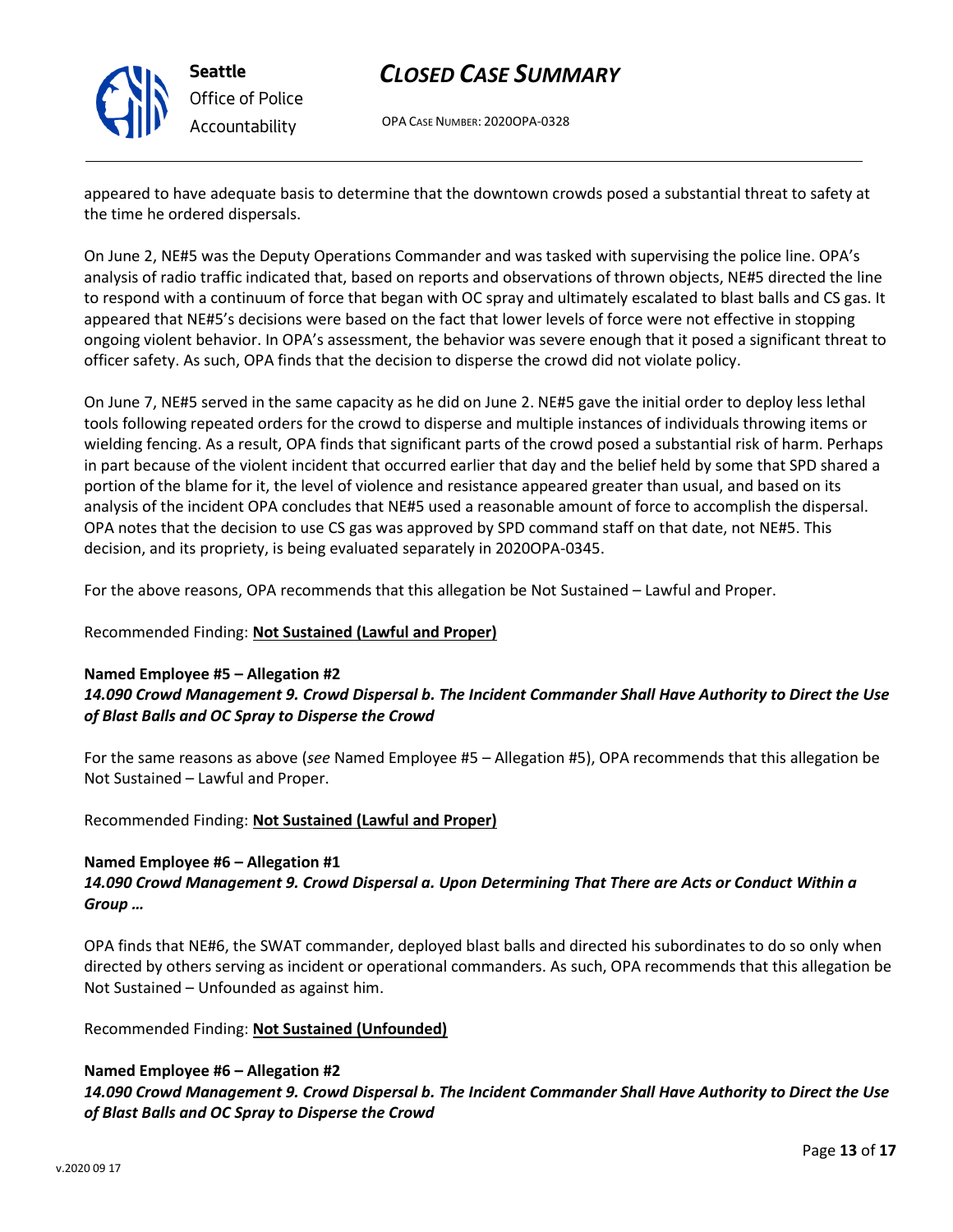

**Seattle** *Office of Police Accountability*

# *CLOSED CASE SUMMARY*

OPA CASE NUMBER: 2020OPA-0328

appeared to have adequate basis to determine that the downtown crowds posed a substantial threat to safety at the time he ordered dispersals.

On June 2, NE#5 was the Deputy Operations Commander and was tasked with supervising the police line. OPA's analysis of radio traffic indicated that, based on reports and observations of thrown objects, NE#5 directed the line to respond with a continuum of force that began with OC spray and ultimately escalated to blast balls and CS gas. It appeared that NE#5's decisions were based on the fact that lower levels of force were not effective in stopping ongoing violent behavior. In OPA's assessment, the behavior was severe enough that it posed a significant threat to officer safety. As such, OPA finds that the decision to disperse the crowd did not violate policy.

On June 7, NE#5 served in the same capacity as he did on June 2. NE#5 gave the initial order to deploy less lethal tools following repeated orders for the crowd to disperse and multiple instances of individuals throwing items or wielding fencing. As a result, OPA finds that significant parts of the crowd posed a substantial risk of harm. Perhaps in part because of the violent incident that occurred earlier that day and the belief held by some that SPD shared a portion of the blame for it, the level of violence and resistance appeared greater than usual, and based on its analysis of the incident OPA concludes that NE#5 used a reasonable amount of force to accomplish the dispersal. OPA notes that the decision to use CS gas was approved by SPD command staff on that date, not NE#5. This decision, and its propriety, is being evaluated separately in 2020OPA-0345.

For the above reasons, OPA recommends that this allegation be Not Sustained – Lawful and Proper.

#### Recommended Finding: **Not Sustained (Lawful and Proper)**

#### **Named Employee #5 – Allegation #2** *14.090 Crowd Management 9. Crowd Dispersal b. The Incident Commander Shall Have Authority to Direct the Use of Blast Balls and OC Spray to Disperse the Crowd*

For the same reasons as above (*see* Named Employee #5 – Allegation #5), OPA recommends that this allegation be Not Sustained – Lawful and Proper.

Recommended Finding: **Not Sustained (Lawful and Proper)**

#### **Named Employee #6 – Allegation #1**

#### *14.090 Crowd Management 9. Crowd Dispersal a. Upon Determining That There are Acts or Conduct Within a Group …*

OPA finds that NE#6, the SWAT commander, deployed blast balls and directed his subordinates to do so only when directed by others serving as incident or operational commanders. As such, OPA recommends that this allegation be Not Sustained – Unfounded as against him.

#### Recommended Finding: **Not Sustained (Unfounded)**

### **Named Employee #6 – Allegation #2** *14.090 Crowd Management 9. Crowd Dispersal b. The Incident Commander Shall Have Authority to Direct the Use of Blast Balls and OC Spray to Disperse the Crowd*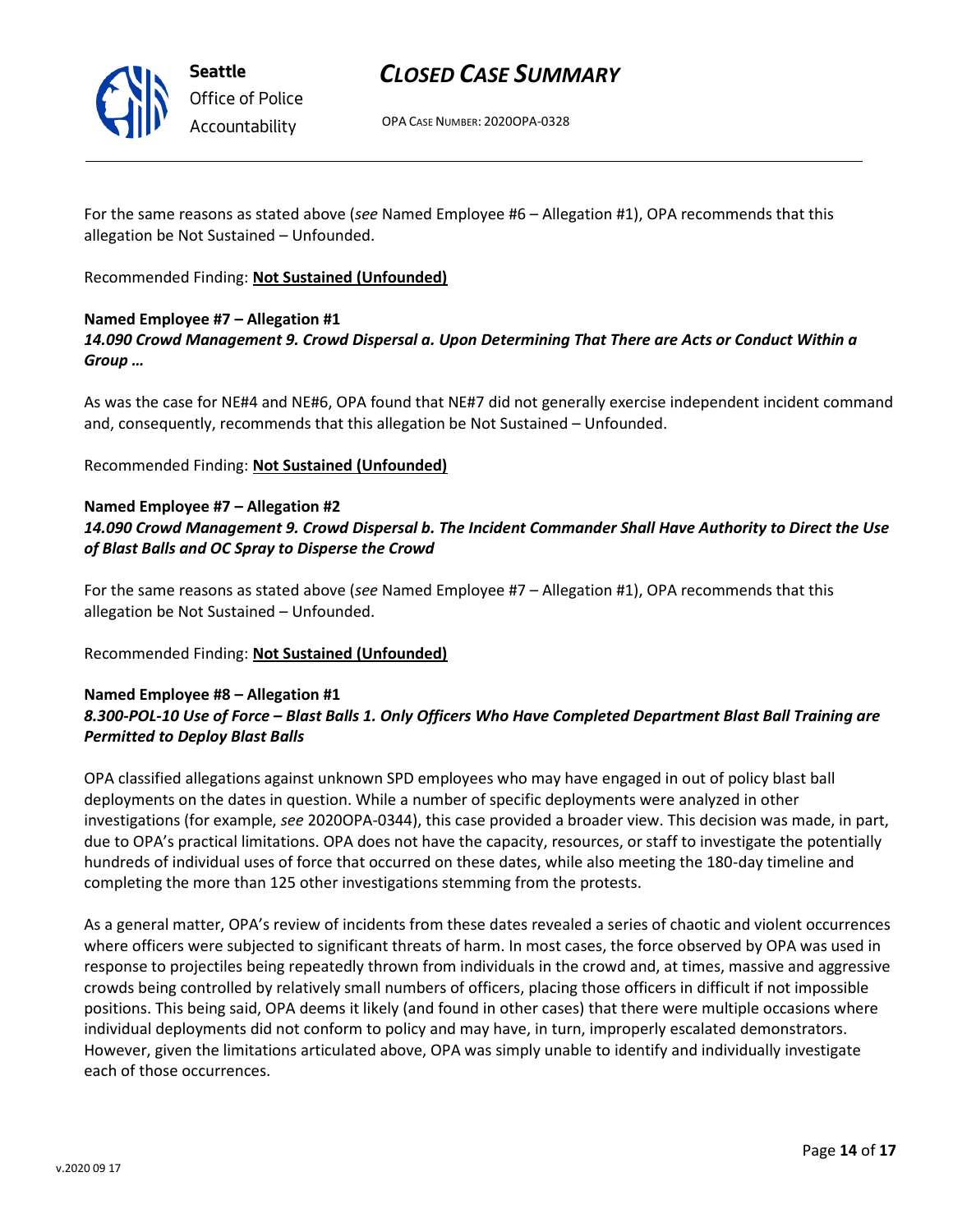

OPA CASE NUMBER: 2020OPA-0328

For the same reasons as stated above (*see* Named Employee #6 – Allegation #1), OPA recommends that this allegation be Not Sustained – Unfounded.

Recommended Finding: **Not Sustained (Unfounded)**

#### **Named Employee #7 – Allegation #1**

#### *14.090 Crowd Management 9. Crowd Dispersal a. Upon Determining That There are Acts or Conduct Within a Group …*

As was the case for NE#4 and NE#6, OPA found that NE#7 did not generally exercise independent incident command and, consequently, recommends that this allegation be Not Sustained – Unfounded.

Recommended Finding: **Not Sustained (Unfounded)**

#### **Named Employee #7 – Allegation #2** *14.090 Crowd Management 9. Crowd Dispersal b. The Incident Commander Shall Have Authority to Direct the Use of Blast Balls and OC Spray to Disperse the Crowd*

For the same reasons as stated above (*see* Named Employee #7 – Allegation #1), OPA recommends that this allegation be Not Sustained – Unfounded.

#### Recommended Finding: **Not Sustained (Unfounded)**

#### **Named Employee #8 – Allegation #1** *8.300-POL-10 Use of Force – Blast Balls 1. Only Officers Who Have Completed Department Blast Ball Training are Permitted to Deploy Blast Balls*

OPA classified allegations against unknown SPD employees who may have engaged in out of policy blast ball deployments on the dates in question. While a number of specific deployments were analyzed in other investigations (for example, *see* 2020OPA-0344), this case provided a broader view. This decision was made, in part, due to OPA's practical limitations. OPA does not have the capacity, resources, or staff to investigate the potentially hundreds of individual uses of force that occurred on these dates, while also meeting the 180-day timeline and completing the more than 125 other investigations stemming from the protests.

As a general matter, OPA's review of incidents from these dates revealed a series of chaotic and violent occurrences where officers were subjected to significant threats of harm. In most cases, the force observed by OPA was used in response to projectiles being repeatedly thrown from individuals in the crowd and, at times, massive and aggressive crowds being controlled by relatively small numbers of officers, placing those officers in difficult if not impossible positions. This being said, OPA deems it likely (and found in other cases) that there were multiple occasions where individual deployments did not conform to policy and may have, in turn, improperly escalated demonstrators. However, given the limitations articulated above, OPA was simply unable to identify and individually investigate each of those occurrences.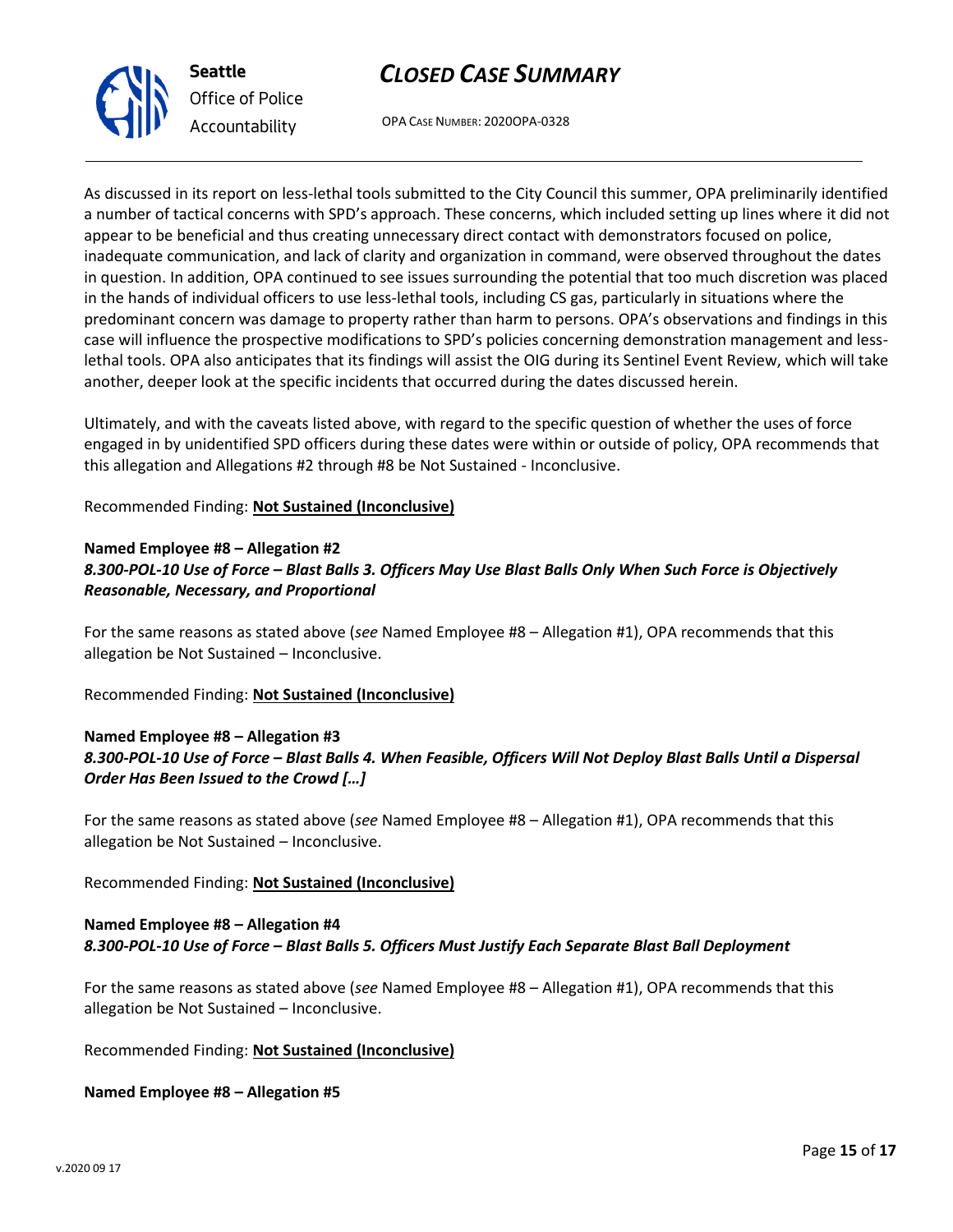

**Seattle** *Office of Police Accountability*

OPA CASE NUMBER: 2020OPA-0328

As discussed in its report on less-lethal tools submitted to the City Council this summer, OPA preliminarily identified a number of tactical concerns with SPD's approach. These concerns, which included setting up lines where it did not appear to be beneficial and thus creating unnecessary direct contact with demonstrators focused on police, inadequate communication, and lack of clarity and organization in command, were observed throughout the dates in question. In addition, OPA continued to see issues surrounding the potential that too much discretion was placed in the hands of individual officers to use less-lethal tools, including CS gas, particularly in situations where the predominant concern was damage to property rather than harm to persons. OPA's observations and findings in this case will influence the prospective modifications to SPD's policies concerning demonstration management and lesslethal tools. OPA also anticipates that its findings will assist the OIG during its Sentinel Event Review, which will take another, deeper look at the specific incidents that occurred during the dates discussed herein.

Ultimately, and with the caveats listed above, with regard to the specific question of whether the uses of force engaged in by unidentified SPD officers during these dates were within or outside of policy, OPA recommends that this allegation and Allegations #2 through #8 be Not Sustained - Inconclusive.

Recommended Finding: **Not Sustained (Inconclusive)**

### **Named Employee #8 – Allegation #2** *8.300-POL-10 Use of Force – Blast Balls 3. Officers May Use Blast Balls Only When Such Force is Objectively Reasonable, Necessary, and Proportional*

For the same reasons as stated above (*see* Named Employee #8 – Allegation #1), OPA recommends that this allegation be Not Sustained – Inconclusive.

Recommended Finding: **Not Sustained (Inconclusive)**

### **Named Employee #8 – Allegation #3** *8.300-POL-10 Use of Force – Blast Balls 4. When Feasible, Officers Will Not Deploy Blast Balls Until a Dispersal Order Has Been Issued to the Crowd […]*

For the same reasons as stated above (*see* Named Employee #8 – Allegation #1), OPA recommends that this allegation be Not Sustained – Inconclusive.

Recommended Finding: **Not Sustained (Inconclusive)**

### **Named Employee #8 – Allegation #4** *8.300-POL-10 Use of Force – Blast Balls 5. Officers Must Justify Each Separate Blast Ball Deployment*

For the same reasons as stated above (*see* Named Employee #8 – Allegation #1), OPA recommends that this allegation be Not Sustained – Inconclusive.

Recommended Finding: **Not Sustained (Inconclusive)**

**Named Employee #8 – Allegation #5**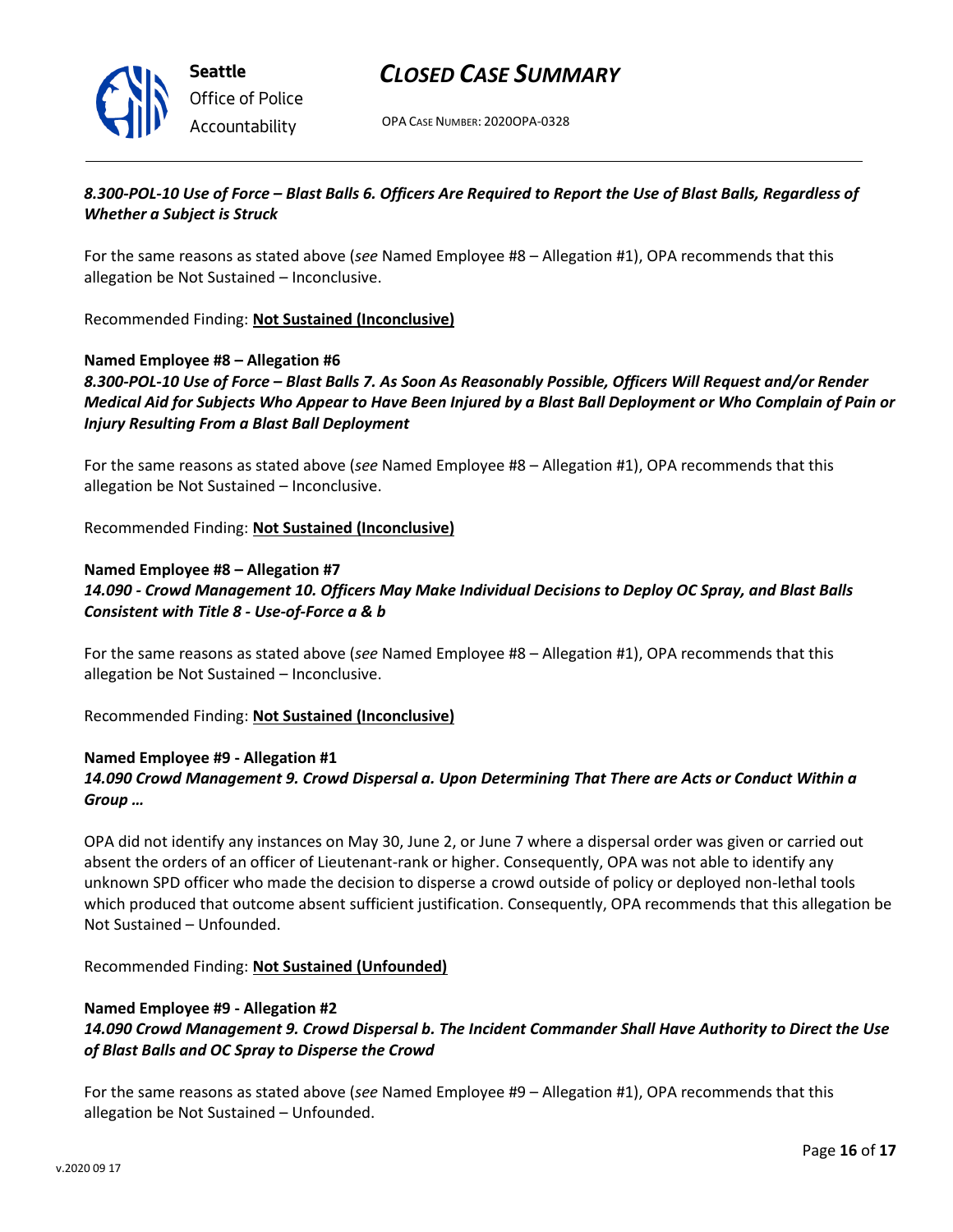

OPA CASE NUMBER: 2020OPA-0328

### *8.300-POL-10 Use of Force – Blast Balls 6. Officers Are Required to Report the Use of Blast Balls, Regardless of Whether a Subject is Struck*

For the same reasons as stated above (*see* Named Employee #8 – Allegation #1), OPA recommends that this allegation be Not Sustained – Inconclusive.

Recommended Finding: **Not Sustained (Inconclusive)**

#### **Named Employee #8 – Allegation #6**

*8.300-POL-10 Use of Force – Blast Balls 7. As Soon As Reasonably Possible, Officers Will Request and/or Render Medical Aid for Subjects Who Appear to Have Been Injured by a Blast Ball Deployment or Who Complain of Pain or Injury Resulting From a Blast Ball Deployment*

For the same reasons as stated above (*see* Named Employee #8 – Allegation #1), OPA recommends that this allegation be Not Sustained – Inconclusive.

Recommended Finding: **Not Sustained (Inconclusive)**

#### **Named Employee #8 – Allegation #7**

*14.090 - Crowd Management 10. Officers May Make Individual Decisions to Deploy OC Spray, and Blast Balls Consistent with Title 8 - Use-of-Force a & b*

For the same reasons as stated above (*see* Named Employee #8 – Allegation #1), OPA recommends that this allegation be Not Sustained – Inconclusive.

Recommended Finding: **Not Sustained (Inconclusive)**

#### **Named Employee #9 - Allegation #1** *14.090 Crowd Management 9. Crowd Dispersal a. Upon Determining That There are Acts or Conduct Within a Group …*

OPA did not identify any instances on May 30, June 2, or June 7 where a dispersal order was given or carried out absent the orders of an officer of Lieutenant-rank or higher. Consequently, OPA was not able to identify any unknown SPD officer who made the decision to disperse a crowd outside of policy or deployed non-lethal tools which produced that outcome absent sufficient justification. Consequently, OPA recommends that this allegation be Not Sustained – Unfounded.

Recommended Finding: **Not Sustained (Unfounded)**

#### **Named Employee #9 - Allegation #2**

#### *14.090 Crowd Management 9. Crowd Dispersal b. The Incident Commander Shall Have Authority to Direct the Use of Blast Balls and OC Spray to Disperse the Crowd*

For the same reasons as stated above (*see* Named Employee #9 – Allegation #1), OPA recommends that this allegation be Not Sustained – Unfounded.